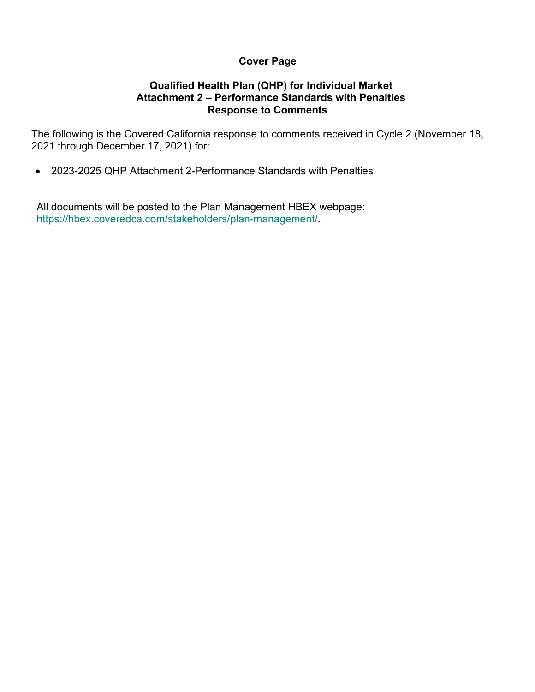# **Cover Page**

# **Qualified Health Plan (QHP) for Individual Market Attachment 2 – Performance Standards with Penalties Response to Comments**

The following is the Covered California response to comments received in Cycle 2 (November 18, 2021 through December 17, 2021) for:

• 2023-2025 QHP Attachment 2-Performance Standards with Penalties

All documents will be posted to the Plan Management HBEX webpage: https://hbex.coveredca.com/stakeholders/plan-management/.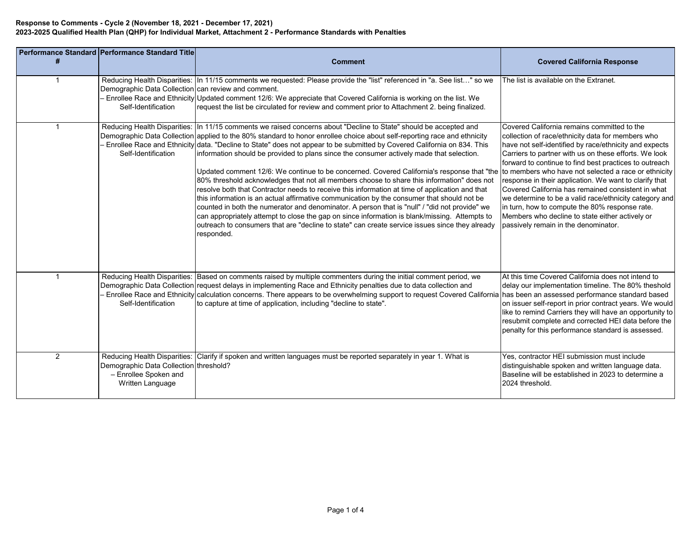|                | Performance Standard Performance Standard Title                                     | <b>Comment</b>                                                                                                                                                                                                                                                                                                                                                                                                                                                                                                                                                                                                                                                                                                                                                                                                                                                                                                                                                                                                                                                                                                                                                                                                                            | <b>Covered California Response</b>                                                                                                                                                                                                                                                                                                                                                                                                                                                                                                                                                                   |
|----------------|-------------------------------------------------------------------------------------|-------------------------------------------------------------------------------------------------------------------------------------------------------------------------------------------------------------------------------------------------------------------------------------------------------------------------------------------------------------------------------------------------------------------------------------------------------------------------------------------------------------------------------------------------------------------------------------------------------------------------------------------------------------------------------------------------------------------------------------------------------------------------------------------------------------------------------------------------------------------------------------------------------------------------------------------------------------------------------------------------------------------------------------------------------------------------------------------------------------------------------------------------------------------------------------------------------------------------------------------|------------------------------------------------------------------------------------------------------------------------------------------------------------------------------------------------------------------------------------------------------------------------------------------------------------------------------------------------------------------------------------------------------------------------------------------------------------------------------------------------------------------------------------------------------------------------------------------------------|
|                | Demographic Data Collection can review and comment.<br>Self-Identification          | Reducing Health Disparities:  In 11/15 comments we requested: Please provide the "list" referenced in "a. See list" so we<br>Enrollee Race and Ethnicity Updated comment 12/6: We appreciate that Covered California is working on the list. We<br>request the list be circulated for review and comment prior to Attachment 2. being finalized.                                                                                                                                                                                                                                                                                                                                                                                                                                                                                                                                                                                                                                                                                                                                                                                                                                                                                          | The list is available on the Extranet.                                                                                                                                                                                                                                                                                                                                                                                                                                                                                                                                                               |
|                | Self-Identification                                                                 | Reducing Health Disparities:   In 11/15 comments we raised concerns about "Decline to State" should be accepted and<br>Demographic Data Collection applied to the 80% standard to honor enrollee choice about self-reporting race and ethnicity<br>Enrollee Race and Ethnicity data. "Decline to State" does not appear to be submitted by Covered California on 834. This<br>information should be provided to plans since the consumer actively made that selection.<br>Updated comment 12/6: We continue to be concerned. Covered California's response that "the to members who have not selected a race or ethnicity<br>80% threshold acknowledges that not all members choose to share this information" does not<br>resolve both that Contractor needs to receive this information at time of application and that<br>this information is an actual affirmative communication by the consumer that should not be<br>counted in both the numerator and denominator. A person that is "null" / "did not provide" we<br>can appropriately attempt to close the gap on since information is blank/missing. Attempts to<br>outreach to consumers that are "decline to state" can create service issues since they already<br>responded. | Covered California remains committed to the<br>collection of race/ethnicity data for members who<br>have not self-identified by race/ethnicity and expects<br>Carriers to partner with us on these efforts. We look<br>forward to continue to find best practices to outreach<br>response in their application. We want to clarify that<br>Covered California has remained consistent in what<br>we determine to be a valid race/ethnicity category and<br>in turn, how to compute the 80% response rate.<br>Members who decline to state either actively or<br>passively remain in the denominator. |
|                | Self-Identification                                                                 | Reducing Health Disparities: Based on comments raised by multiple commenters during the initial comment period, we<br>Demographic Data Collection request delays in implementing Race and Ethnicity penalties due to data collection and<br>Enrollee Race and Ethnicity calculation concerns. There appears to be overwhelming support to request Covered California has been an assessed performance standard based<br>to capture at time of application, including "decline to state".                                                                                                                                                                                                                                                                                                                                                                                                                                                                                                                                                                                                                                                                                                                                                  | At this time Covered California does not intend to<br>delay our implementation timeline. The 80% theshold<br>on issuer self-report in prior contract years. We would<br>like to remind Carriers they will have an opportunity to<br>resubmit complete and corrected HEI data before the<br>penalty for this performance standard is assessed.                                                                                                                                                                                                                                                        |
| $\overline{2}$ | Demographic Data Collection threshold?<br>- Enrollee Spoken and<br>Written Language | Reducing Health Disparities: Clarify if spoken and written languages must be reported separately in year 1. What is                                                                                                                                                                                                                                                                                                                                                                                                                                                                                                                                                                                                                                                                                                                                                                                                                                                                                                                                                                                                                                                                                                                       | Yes, contractor HEI submission must include<br>distinguishable spoken and written language data.<br>Baseline will be established in 2023 to determine a<br>2024 threshold.                                                                                                                                                                                                                                                                                                                                                                                                                           |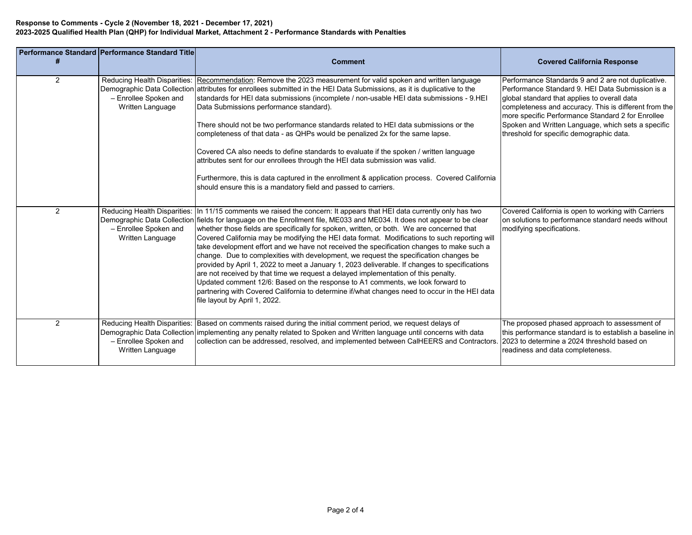|                | Performance Standard Performance Standard Title                                                          |                                                                                                                                                                                                                                                                                                                                                                                                                                                                                                                                                                                                                                                                                                                                                                                                                                                                                                                                                                                        |                                                                                                                                                                                                                                                                                                                            |
|----------------|----------------------------------------------------------------------------------------------------------|----------------------------------------------------------------------------------------------------------------------------------------------------------------------------------------------------------------------------------------------------------------------------------------------------------------------------------------------------------------------------------------------------------------------------------------------------------------------------------------------------------------------------------------------------------------------------------------------------------------------------------------------------------------------------------------------------------------------------------------------------------------------------------------------------------------------------------------------------------------------------------------------------------------------------------------------------------------------------------------|----------------------------------------------------------------------------------------------------------------------------------------------------------------------------------------------------------------------------------------------------------------------------------------------------------------------------|
|                |                                                                                                          | <b>Comment</b>                                                                                                                                                                                                                                                                                                                                                                                                                                                                                                                                                                                                                                                                                                                                                                                                                                                                                                                                                                         | <b>Covered California Response</b>                                                                                                                                                                                                                                                                                         |
| $\overline{2}$ | Reducing Health Disparities:<br>Demographic Data Collection<br>- Enrollee Spoken and<br>Written Language | Recommendation: Remove the 2023 measurement for valid spoken and written language<br>attributes for enrollees submitted in the HEI Data Submissions, as it is duplicative to the<br>standards for HEI data submissions (incomplete / non-usable HEI data submissions - 9.HEI<br>Data Submissions performance standard).<br>There should not be two performance standards related to HEI data submissions or the                                                                                                                                                                                                                                                                                                                                                                                                                                                                                                                                                                        | Performance Standards 9 and 2 are not duplicative.<br>Performance Standard 9. HEI Data Submission is a<br>global standard that applies to overall data<br>completeness and accuracy. This is different from the<br>more specific Performance Standard 2 for Enrollee<br>Spoken and Written Language, which sets a specific |
|                |                                                                                                          | completeness of that data - as QHPs would be penalized 2x for the same lapse.<br>Covered CA also needs to define standards to evaluate if the spoken / written language<br>attributes sent for our enrollees through the HEI data submission was valid.                                                                                                                                                                                                                                                                                                                                                                                                                                                                                                                                                                                                                                                                                                                                | threshold for specific demographic data.                                                                                                                                                                                                                                                                                   |
|                |                                                                                                          | Furthermore, this is data captured in the enrollment & application process. Covered California<br>should ensure this is a mandatory field and passed to carriers.                                                                                                                                                                                                                                                                                                                                                                                                                                                                                                                                                                                                                                                                                                                                                                                                                      |                                                                                                                                                                                                                                                                                                                            |
| 2              | Reducing Health Disparities:<br>Demographic Data Collection<br>- Enrollee Spoken and<br>Written Language | In 11/15 comments we raised the concern: It appears that HEI data currently only has two<br>fields for language on the Enrollment file, ME033 and ME034. It does not appear to be clear<br>whether those fields are specifically for spoken, written, or both. We are concerned that<br>Covered California may be modifying the HEI data format. Modifications to such reporting will<br>take development effort and we have not received the specification changes to make such a<br>change. Due to complexities with development, we request the specification changes be<br>provided by April 1, 2022 to meet a January 1, 2023 deliverable. If changes to specifications<br>are not received by that time we request a delayed implementation of this penalty.<br>Updated comment 12/6: Based on the response to A1 comments, we look forward to<br>partnering with Covered California to determine if/what changes need to occur in the HEI data<br>file layout by April 1, 2022. | Covered California is open to working with Carriers<br>on solutions to performance standard needs without<br>modifying specifications.                                                                                                                                                                                     |
| 2              | Reducing Health Disparities:<br>- Enrollee Spoken and<br>Written Language                                | Based on comments raised during the initial comment period, we request delays of<br>Demographic Data Collection implementing any penalty related to Spoken and Written language until concerns with data<br>collection can be addressed, resolved, and implemented between CalHEERS and Contractors. 2023 to determine a 2024 threshold based on                                                                                                                                                                                                                                                                                                                                                                                                                                                                                                                                                                                                                                       | The proposed phased approach to assessment of<br>this performance standard is to establish a baseline in<br>readiness and data completeness.                                                                                                                                                                               |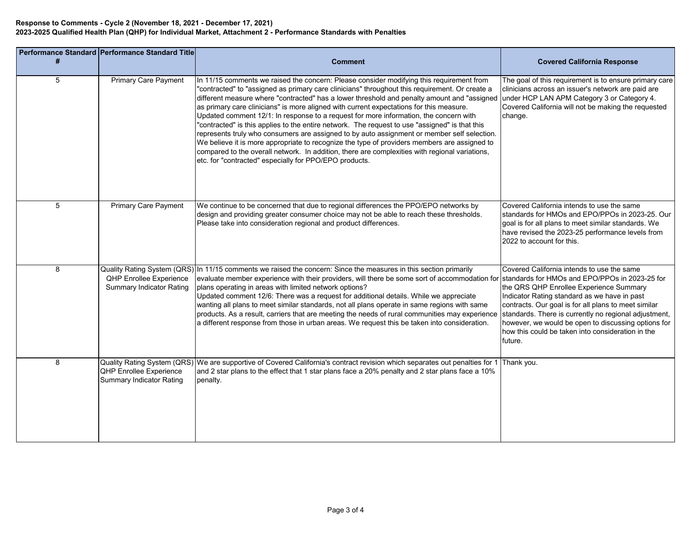|   | Performance Standard Performance Standard Title                                                         |                                                                                                                                                                                                                                                                                                                                                                                                                                                                                                                                                                                                                                                                                                                                                                                                                                                                                                                                                                                        |                                                                                                                                                                                                                                                                                                                      |
|---|---------------------------------------------------------------------------------------------------------|----------------------------------------------------------------------------------------------------------------------------------------------------------------------------------------------------------------------------------------------------------------------------------------------------------------------------------------------------------------------------------------------------------------------------------------------------------------------------------------------------------------------------------------------------------------------------------------------------------------------------------------------------------------------------------------------------------------------------------------------------------------------------------------------------------------------------------------------------------------------------------------------------------------------------------------------------------------------------------------|----------------------------------------------------------------------------------------------------------------------------------------------------------------------------------------------------------------------------------------------------------------------------------------------------------------------|
| # |                                                                                                         | <b>Comment</b>                                                                                                                                                                                                                                                                                                                                                                                                                                                                                                                                                                                                                                                                                                                                                                                                                                                                                                                                                                         | <b>Covered California Response</b>                                                                                                                                                                                                                                                                                   |
| 5 | <b>Primary Care Payment</b>                                                                             | In 11/15 comments we raised the concern: Please consider modifying this requirement from<br>"contracted" to "assigned as primary care clinicians" throughout this requirement. Or create a<br>different measure where "contracted" has a lower threshold and penalty amount and "assigned under HCP LAN APM Category 3 or Category 4.<br>as primary care clinicians" is more aligned with current expectations for this measure.<br>Updated comment 12/1: In response to a request for more information, the concern with<br>"contracted" is this applies to the entire network. The request to use "assigned" is that this<br>represents truly who consumers are assigned to by auto assignment or member self selection.<br>We believe it is more appropriate to recognize the type of providers members are assigned to<br>compared to the overall network. In addition, there are complexities with regional variations,<br>etc. for "contracted" especially for PPO/EPO products. | The goal of this requirement is to ensure primary care<br>clinicians across an issuer's network are paid are<br>Covered California will not be making the requested<br>change.                                                                                                                                       |
| 5 | <b>Primary Care Payment</b>                                                                             | We continue to be concerned that due to regional differences the PPO/EPO networks by<br>design and providing greater consumer choice may not be able to reach these thresholds.<br>Please take into consideration regional and product differences.                                                                                                                                                                                                                                                                                                                                                                                                                                                                                                                                                                                                                                                                                                                                    | Covered California intends to use the same<br>standards for HMOs and EPO/PPOs in 2023-25. Our<br>goal is for all plans to meet similar standards. We<br>have revised the 2023-25 performance levels from<br>2022 to account for this.                                                                                |
| 8 | <b>Quality Rating System (QRS)</b><br><b>QHP Enrollee Experience</b><br><b>Summary Indicator Rating</b> | In 11/15 comments we raised the concern: Since the measures in this section primarily<br>evaluate member experience with their providers, will there be some sort of accommodation for standards for HMOs and EPO/PPOs in 2023-25 for<br>plans operating in areas with limited network options?<br>Updated comment 12/6: There was a request for additional details. While we appreciate<br>wanting all plans to meet similar standards, not all plans operate in same regions with same<br>products. As a result, carriers that are meeting the needs of rural communities may experience standards. There is currently no regional adjustment,<br>a different response from those in urban areas. We request this be taken into consideration.                                                                                                                                                                                                                                       | Covered California intends to use the same<br>the QRS QHP Enrollee Experience Summary<br>Indicator Rating standard as we have in past<br>contracts. Our goal is for all plans to meet similar<br>however, we would be open to discussing options for<br>how this could be taken into consideration in the<br>future. |
| 8 | Quality Rating System (QRS)<br><b>QHP Enrollee Experience</b><br><b>Summary Indicator Rating</b>        | We are supportive of Covered California's contract revision which separates out penalties for 1 Thank you.<br>and 2 star plans to the effect that 1 star plans face a 20% penalty and 2 star plans face a 10%<br>penalty.                                                                                                                                                                                                                                                                                                                                                                                                                                                                                                                                                                                                                                                                                                                                                              |                                                                                                                                                                                                                                                                                                                      |